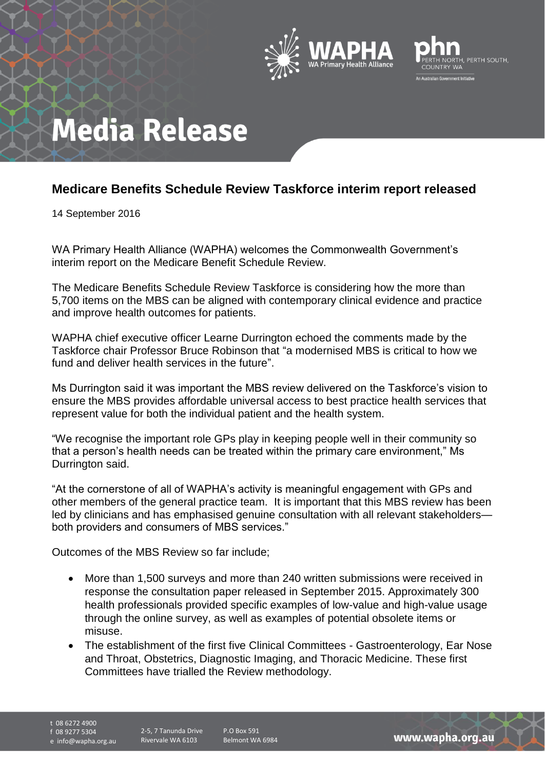



## **Media Release**

## **Medicare Benefits Schedule Review Taskforce interim report released**

14 September 2016

WA Primary Health Alliance (WAPHA) welcomes the Commonwealth Government's interim report on the Medicare Benefit Schedule Review.

The Medicare Benefits Schedule Review Taskforce is considering how the more than 5,700 items on the MBS can be aligned with contemporary clinical evidence and practice and improve health outcomes for patients.

WAPHA chief executive officer Learne Durrington echoed the comments made by the Taskforce chair Professor Bruce Robinson that "a modernised MBS is critical to how we fund and deliver health services in the future".

Ms Durrington said it was important the MBS review delivered on the Taskforce's vision to ensure the MBS provides affordable universal access to best practice health services that represent value for both the individual patient and the health system.

"We recognise the important role GPs play in keeping people well in their community so that a person's health needs can be treated within the primary care environment," Ms Durrington said.

"At the cornerstone of all of WAPHA's activity is meaningful engagement with GPs and other members of the general practice team. It is important that this MBS review has been led by clinicians and has emphasised genuine consultation with all relevant stakeholders both providers and consumers of MBS services."

Outcomes of the MBS Review so far include;

- More than 1,500 surveys and more than 240 written submissions were received in response the consultation paper released in September 2015. Approximately 300 health professionals provided specific examples of low-value and high-value usage through the online survey, as well as examples of potential obsolete items or misuse.
- The establishment of the first five Clinical Committees Gastroenterology, Ear Nose and Throat, Obstetrics, Diagnostic Imaging, and Thoracic Medicine. These first Committees have trialled the Review methodology.

t 08 6272 4900

f 08 9277 5304

e info@wapha.org.au

P.O Box 591 Belmont WA 6984

www.wapha.org.au